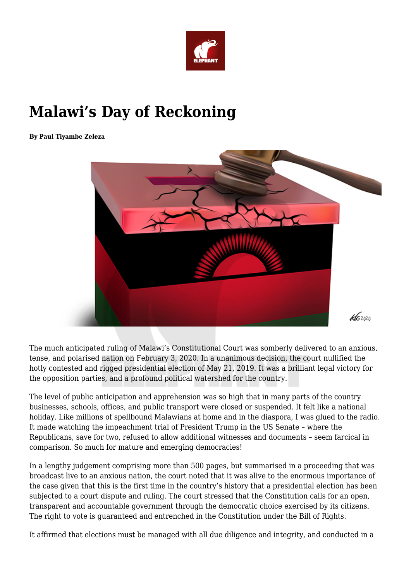

# **Malawi's Day of Reckoning**

**By Paul Tiyambe Zeleza**



The much anticipated ruling of Malawi's Constitutional Court was somberly delivered to an anxious, tense, and polarised nation on February 3, 2020. In a unanimous decision, the court nullified the hotly contested and rigged presidential election of May 21, 2019. It was a brilliant legal victory for the opposition parties, and a profound political watershed for the country.

The level of public anticipation and apprehension was so high that in many parts of the country businesses, schools, offices, and public transport were closed or suspended. It felt like a national holiday. Like millions of spellbound Malawians at home and in the diaspora, I was glued to the radio. It made watching the impeachment trial of President Trump in the US Senate – where the Republicans, save for two, refused to allow additional witnesses and documents – seem farcical in comparison. So much for mature and emerging democracies!

In a lengthy judgement comprising more than 500 pages, but summarised in a proceeding that was broadcast live to an anxious nation, the court noted that it was alive to the enormous importance of the case given that this is the first time in the country's history that a presidential election has been subjected to a court dispute and ruling. The court stressed that the Constitution calls for an open, transparent and accountable government through the democratic choice exercised by its citizens. The right to vote is guaranteed and entrenched in the Constitution under the Bill of Rights.

It affirmed that elections must be managed with all due diligence and integrity, and conducted in a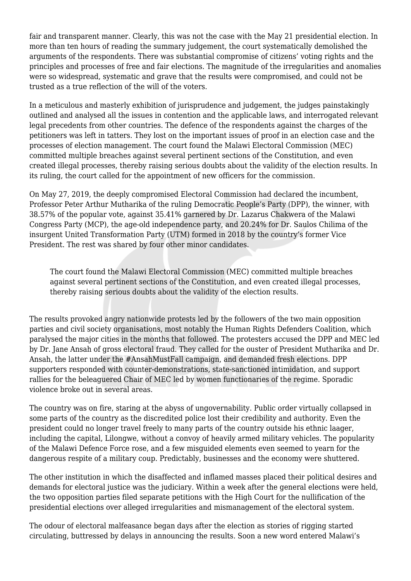fair and transparent manner. Clearly, this was not the case with the May 21 presidential election. In more than ten hours of reading the summary judgement, the court systematically demolished the arguments of the respondents. There was substantial compromise of citizens' voting rights and the principles and processes of free and fair elections. The magnitude of the irregularities and anomalies were so widespread, systematic and grave that the results were compromised, and could not be trusted as a true reflection of the will of the voters.

In a meticulous and masterly exhibition of jurisprudence and judgement, the judges painstakingly outlined and analysed all the issues in contention and the applicable laws, and interrogated relevant legal precedents from other countries. The defence of the respondents against the charges of the petitioners was left in tatters. They lost on the important issues of proof in an election case and the processes of election management. The court found the Malawi Electoral Commission (MEC) committed multiple breaches against several pertinent sections of the Constitution, and even created illegal processes, thereby raising serious doubts about the validity of the election results. In its ruling, the court called for the appointment of new officers for the commission.

On May 27, 2019, the deeply compromised Electoral Commission had declared the incumbent, Professor Peter Arthur Mutharika of the ruling Democratic People's Party (DPP), the winner, with 38.57% of the popular vote, against 35.41% garnered by Dr. Lazarus Chakwera of the Malawi Congress Party (MCP), the age-old independence party, and 20.24% for Dr. Saulos Chilima of the insurgent United Transformation Party (UTM) formed in 2018 by the country's former Vice President. The rest was shared by four other minor candidates.

The court found the Malawi Electoral Commission (MEC) committed multiple breaches against several pertinent sections of the Constitution, and even created illegal processes, thereby raising serious doubts about the validity of the election results.

The results provoked angry nationwide protests led by the followers of the two main opposition parties and civil society organisations, most notably the Human Rights Defenders Coalition, which paralysed the major cities in the months that followed. The protesters accused the DPP and MEC led by Dr. Jane Ansah of gross electoral fraud. They called for the ouster of President Mutharika and Dr. Ansah, the latter under the #AnsahMustFall campaign, and demanded fresh elections. DPP supporters responded with counter-demonstrations, state-sanctioned intimidation, and support rallies for the beleaguered Chair of MEC led by women functionaries of the regime. Sporadic violence broke out in several areas.

The country was on fire, staring at the abyss of ungovernability. Public order virtually collapsed in some parts of the country as the discredited police lost their credibility and authority. Even the president could no longer travel freely to many parts of the country outside his ethnic laager, including the capital, Lilongwe, without a convoy of heavily armed military vehicles. The popularity of the Malawi Defence Force rose, and a few misguided elements even seemed to yearn for the dangerous respite of a military coup. Predictably, businesses and the economy were shuttered.

The other institution in which the disaffected and inflamed masses placed their political desires and demands for electoral justice was the judiciary. Within a week after the general elections were held, the two opposition parties filed separate petitions with the High Court for the nullification of the presidential elections over alleged irregularities and mismanagement of the electoral system.

The odour of electoral malfeasance began days after the election as stories of rigging started circulating, buttressed by delays in announcing the results. Soon a new word entered Malawi's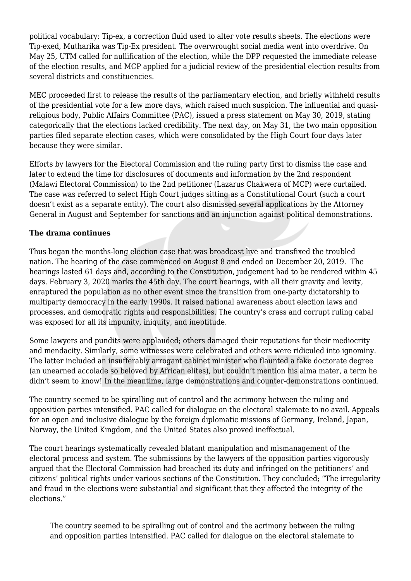political vocabulary: Tip-ex, a correction fluid used to alter vote results sheets. The elections were Tip-exed, Mutharika was Tip-Ex president. The overwrought social media went into overdrive. On May 25, UTM called for nullification of the election, while the DPP requested the immediate release of the election results, and MCP applied for a judicial review of the presidential election results from several districts and constituencies.

MEC proceeded first to release the results of the parliamentary election, and briefly withheld results of the presidential vote for a few more days, which raised much suspicion. The influential and quasireligious body, Public Affairs Committee (PAC), issued a press statement on May 30, 2019, stating categorically that the elections lacked credibility. The next day, on May 31, the two main opposition parties filed separate election cases, which were consolidated by the High Court four days later because they were similar.

Efforts by lawyers for the Electoral Commission and the ruling party first to dismiss the case and later to extend the time for disclosures of documents and information by the 2nd respondent (Malawi Electoral Commission) to the 2nd petitioner (Lazarus Chakwera of MCP) were curtailed. The case was referred to select High Court judges sitting as a Constitutional Court (such a court doesn't exist as a separate entity). The court also dismissed several applications by the Attorney General in August and September for sanctions and an injunction against political demonstrations.

### **The drama continues**

Thus began the months-long election case that was broadcast live and transfixed the troubled nation. The hearing of the case commenced on August 8 and ended on December 20, 2019. The hearings lasted 61 days and, according to the Constitution, judgement had to be rendered within 45 days. February 3, 2020 marks the 45th day. The court hearings, with all their gravity and levity, enraptured the population as no other event since the transition from one-party dictatorship to multiparty democracy in the early 1990s. It raised national awareness about election laws and processes, and democratic rights and responsibilities. The country's crass and corrupt ruling cabal was exposed for all its impunity, iniquity, and ineptitude.

Some lawyers and pundits were applauded; others damaged their reputations for their mediocrity and mendacity. Similarly, some witnesses were celebrated and others were ridiculed into ignominy. The latter included an insufferably arrogant cabinet minister who flaunted a fake doctorate degree (an unearned accolade so beloved by African elites), but couldn't mention his alma mater, a term he didn't seem to know! In the meantime, large demonstrations and counter-demonstrations continued.

The country seemed to be spiralling out of control and the acrimony between the ruling and opposition parties intensified. PAC called for dialogue on the electoral stalemate to no avail. Appeals for an open and inclusive dialogue by the foreign diplomatic missions of Germany, Ireland, Japan, Norway, the United Kingdom, and the United States also proved ineffectual.

The court hearings systematically revealed blatant manipulation and mismanagement of the electoral process and system. The submissions by the lawyers of the opposition parties vigorously argued that the Electoral Commission had breached its duty and infringed on the petitioners' and citizens' political rights under various sections of the Constitution. They concluded; "The irregularity and fraud in the elections were substantial and significant that they affected the integrity of the elections."

The country seemed to be spiralling out of control and the acrimony between the ruling and opposition parties intensified. PAC called for dialogue on the electoral stalemate to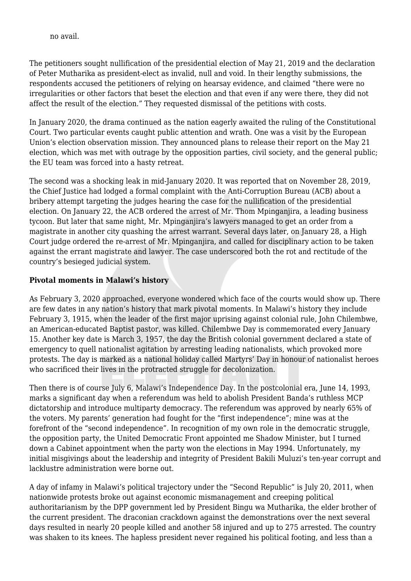no avail.

The petitioners sought nullification of the presidential election of May 21, 2019 and the declaration of Peter Mutharika as president-elect as invalid, null and void. In their lengthy submissions, the respondents accused the petitioners of relying on hearsay evidence, and claimed "there were no irregularities or other factors that beset the election and that even if any were there, they did not affect the result of the election." They requested dismissal of the petitions with costs.

In January 2020, the drama continued as the nation eagerly awaited the ruling of the Constitutional Court. Two particular events caught public attention and wrath. One was a visit by the European Union's election observation mission. They announced plans to release their report on the May 21 election, which was met with outrage by the opposition parties, civil society, and the general public; the EU team was forced into a hasty retreat.

The second was a shocking leak in mid-January 2020. It was reported that on November 28, 2019, the Chief Justice had lodged a formal complaint with the Anti-Corruption Bureau (ACB) about a bribery attempt targeting the judges hearing the case for the nullification of the presidential election. On January 22, the ACB ordered the arrest of Mr. Thom Mpinganjira, a leading business tycoon. But later that same night, Mr. Mpinganjira's lawyers managed to get an order from a magistrate in another city quashing the arrest warrant. Several days later, on January 28, a High Court judge ordered the re-arrest of Mr. Mpinganjira, and called for disciplinary action to be taken against the errant magistrate and lawyer. The case underscored both the rot and rectitude of the country's besieged judicial system.

### **Pivotal moments in Malawi's history**

As February 3, 2020 approached, everyone wondered which face of the courts would show up. There are few dates in any nation's history that mark pivotal moments. In Malawi's history they include February 3, 1915, when the leader of the first major uprising against colonial rule, John Chilembwe, an American-educated Baptist pastor, was killed. Chilembwe Day is commemorated every January 15. Another key date is March 3, 1957, the day the British colonial government declared a state of emergency to quell nationalist agitation by arresting leading nationalists, which provoked more protests. The day is marked as a national holiday called Martyrs' Day in honour of nationalist heroes who sacrificed their lives in the protracted struggle for decolonization.

Then there is of course July 6, Malawi's Independence Day. In the postcolonial era, June 14, 1993, marks a significant day when a referendum was held to abolish President Banda's ruthless MCP dictatorship and introduce multiparty democracy. The referendum was approved by nearly 65% of the voters. My parents' generation had fought for the "first independence"; mine was at the forefront of the "second independence". In recognition of my own role in the democratic struggle, the opposition party, the United Democratic Front appointed me Shadow Minister, but I turned down a Cabinet appointment when the party won the elections in May 1994. Unfortunately, my initial misgivings about the leadership and integrity of President Bakili Muluzi's ten-year corrupt and lacklustre administration were borne out.

A day of infamy in Malawi's political trajectory under the "Second Republic" is July 20, 2011, when nationwide protests broke out against economic mismanagement and creeping political authoritarianism by the DPP government led by President Bingu wa Mutharika, the elder brother of the current president. The draconian crackdown against the demonstrations over the next several days resulted in nearly 20 people killed and another 58 injured and up to 275 arrested. The country was shaken to its knees. The hapless president never regained his political footing, and less than a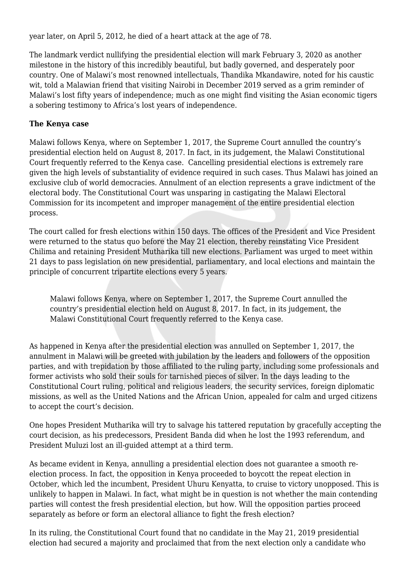year later, on April 5, 2012, he died of a heart attack at the age of 78.

The landmark verdict nullifying the presidential election will mark February 3, 2020 as another milestone in the history of this incredibly beautiful, but badly governed, and desperately poor country. One of Malawi's most renowned intellectuals, Thandika Mkandawire, noted for his caustic wit, told a Malawian friend that visiting Nairobi in December 2019 served as a grim reminder of Malawi's lost fifty years of independence; much as one might find visiting the Asian economic tigers a sobering testimony to Africa's lost years of independence.

## **The Kenya case**

Malawi follows Kenya, where on September 1, 2017, the Supreme Court annulled the country's presidential election held on August 8, 2017. In fact, in its judgement, the Malawi Constitutional Court frequently referred to the Kenya case. Cancelling presidential elections is extremely rare given the high levels of substantiality of evidence required in such cases. Thus Malawi has joined an exclusive club of world democracies. Annulment of an election represents a grave indictment of the electoral body. The Constitutional Court was unsparing in castigating the Malawi Electoral Commission for its incompetent and improper management of the entire presidential election process.

The court called for fresh elections within 150 days. The offices of the President and Vice President were returned to the status quo before the May 21 election, thereby reinstating Vice President Chilima and retaining President Mutharika till new elections. Parliament was urged to meet within 21 days to pass legislation on new presidential, parliamentary, and local elections and maintain the principle of concurrent tripartite elections every 5 years.

Malawi follows Kenya, where on September 1, 2017, the Supreme Court annulled the country's presidential election held on August 8, 2017. In fact, in its judgement, the Malawi Constitutional Court frequently referred to the Kenya case.

As happened in Kenya after the presidential election was annulled on September 1, 2017, the annulment in Malawi will be greeted with jubilation by the leaders and followers of the opposition parties, and with trepidation by those affiliated to the ruling party, including some professionals and former activists who sold their souls for tarnished pieces of silver. In the days leading to the Constitutional Court ruling, political and religious leaders, the security services, foreign diplomatic missions, as well as the United Nations and the African Union, appealed for calm and urged citizens to accept the court's decision.

One hopes President Mutharika will try to salvage his tattered reputation by gracefully accepting the court decision, as his predecessors, President Banda did when he lost the 1993 referendum, and President Muluzi lost an ill-guided attempt at a third term.

As became evident in Kenya, annulling a presidential election does not guarantee a smooth reelection process. In fact, the opposition in Kenya proceeded to boycott the repeat election in October, which led the incumbent, President Uhuru Kenyatta, to cruise to victory unopposed. This is unlikely to happen in Malawi. In fact, what might be in question is not whether the main contending parties will contest the fresh presidential election, but how. Will the opposition parties proceed separately as before or form an electoral alliance to fight the fresh election?

In its ruling, the Constitutional Court found that no candidate in the May 21, 2019 presidential election had secured a majority and proclaimed that from the next election only a candidate who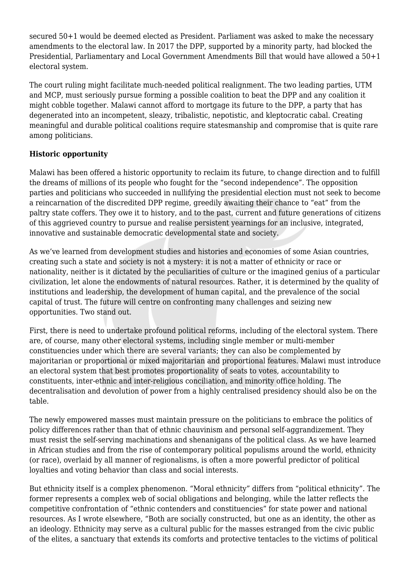secured 50+1 would be deemed elected as President. Parliament was asked to make the necessary amendments to the electoral law. In 2017 the DPP, supported by a minority party, had blocked the Presidential, Parliamentary and Local Government Amendments Bill that would have allowed a 50+1 electoral system.

The court ruling might facilitate much-needed political realignment. The two leading parties, UTM and MCP, must seriously pursue forming a possible coalition to beat the DPP and any coalition it might cobble together. Malawi cannot afford to mortgage its future to the DPP, a party that has degenerated into an incompetent, sleazy, tribalistic, nepotistic, and kleptocratic cabal. Creating meaningful and durable political coalitions require statesmanship and compromise that is quite rare among politicians.

# **Historic opportunity**

Malawi has been offered a historic opportunity to reclaim its future, to change direction and to fulfill the dreams of millions of its people who fought for the "second independence". The opposition parties and politicians who succeeded in nullifying the presidential election must not seek to become a reincarnation of the discredited DPP regime, greedily awaiting their chance to "eat" from the paltry state coffers. They owe it to history, and to the past, current and future generations of citizens of this aggrieved country to pursue and realise persistent yearnings for an inclusive, integrated, innovative and sustainable democratic developmental state and society.

As we've learned from development studies and histories and economies of some Asian countries, creating such a state and society is not a mystery: it is not a matter of ethnicity or race or nationality, neither is it dictated by the peculiarities of culture or the imagined genius of a particular civilization, let alone the endowments of natural resources. Rather, it is determined by the quality of institutions and leadership, the development of human capital, and the prevalence of the social capital of trust. The future will centre on confronting many challenges and seizing new opportunities. Two stand out.

First, there is need to undertake profound political reforms, including of the electoral system. There are, of course, many other electoral systems, including single member or multi-member constituencies under which there are several variants; they can also be complemented by majoritarian or proportional or mixed majoritarian and proportional features. Malawi must introduce an electoral system that best promotes proportionality of seats to votes, accountability to constituents, inter-ethnic and inter-religious conciliation, and minority office holding. The decentralisation and devolution of power from a highly centralised presidency should also be on the table.

The newly empowered masses must maintain pressure on the politicians to embrace the politics of policy differences rather than that of ethnic chauvinism and personal self-aggrandizement. They must resist the self-serving machinations and shenanigans of the political class. As we have learned in African studies and from the rise of contemporary political populisms around the world, ethnicity (or race), overlaid by all manner of regionalisms, is often a more powerful predictor of political loyalties and voting behavior than class and social interests.

But ethnicity itself is a complex phenomenon. "Moral ethnicity" differs from "political ethnicity". The former represents a complex web of social obligations and belonging, while the latter reflects the competitive confrontation of "ethnic contenders and constituencies" for state power and national resources. As I wrote elsewhere, "Both are socially constructed, but one as an identity, the other as an ideology. Ethnicity may serve as a cultural public for the masses estranged from the civic public of the elites, a sanctuary that extends its comforts and protective tentacles to the victims of political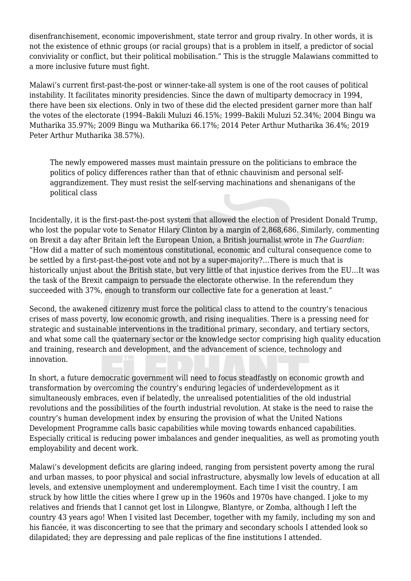disenfranchisement, economic impoverishment, state terror and group rivalry. In other words, it is not the existence of ethnic groups (or racial groups) that is a problem in itself, a predictor of social conviviality or conflict, but their political mobilisation." This is the struggle Malawians committed to a more inclusive future must fight.

Malawi's current first-past-the-post or winner-take-all system is one of the root causes of political instability. It facilitates minority presidencies. Since the dawn of multiparty democracy in 1994, there have been six elections. Only in two of these did the elected president garner more than half the votes of the electorate (1994–Bakili Muluzi 46.15%; 1999–Bakili Muluzi 52.34%; 2004 Bingu wa Mutharika 35.97%; 2009 Bingu wa Mutharika 66.17%; 2014 Peter Arthur Mutharika 36.4%; 2019 Peter Arthur Mutharika 38.57%).

The newly empowered masses must maintain pressure on the politicians to embrace the politics of policy differences rather than that of ethnic chauvinism and personal selfaggrandizement. They must resist the self-serving machinations and shenanigans of the political class

Incidentally, it is the first-past-the-post system that allowed the election of President Donald Trump, who lost the popular vote to Senator Hilary Clinton by a margin of 2,868,686. Similarly, commenting on Brexit a day after Britain left the European Union, a British journalist wrote in *The Guardian*: "How did a matter of such momentous constitutional, economic and cultural consequence come to be settled by a first-past-the-post vote and not by a super-majority?…There is much that is historically unjust about the British state, but very little of that injustice derives from the EU…It was the task of the Brexit campaign to persuade the electorate otherwise. In the referendum they succeeded with 37%, enough to transform our collective fate for a generation at least."

Second, the awakened citizenry must force the political class to attend to the country's tenacious crises of mass poverty, low economic growth, and rising inequalities. There is a pressing need for strategic and sustainable interventions in the traditional primary, secondary, and tertiary sectors, and what some call the quaternary sector or the knowledge sector comprising high quality education and training, research and development, and the advancement of science, technology and innovation.

In short, a future democratic government will need to focus steadfastly on economic growth and transformation by overcoming the country's enduring legacies of underdevelopment as it simultaneously embraces, even if belatedly, the unrealised potentialities of the old industrial revolutions and the possibilities of the fourth industrial revolution. At stake is the need to raise the country's human development index by ensuring the provision of what the United Nations Development Programme calls basic capabilities while moving towards enhanced capabilities. Especially critical is reducing power imbalances and gender inequalities, as well as promoting youth employability and decent work.

Malawi's development deficits are glaring indeed, ranging from persistent poverty among the rural and urban masses, to poor physical and social infrastructure, abysmally low levels of education at all levels, and extensive unemployment and underemployment. Each time I visit the country, I am struck by how little the cities where I grew up in the 1960s and 1970s have changed. I joke to my relatives and friends that I cannot get lost in Lilongwe, Blantyre, or Zomba, although I left the country 43 years ago! When I visited last December, together with my family, including my son and his fiancée, it was disconcerting to see that the primary and secondary schools I attended look so dilapidated; they are depressing and pale replicas of the fine institutions I attended.